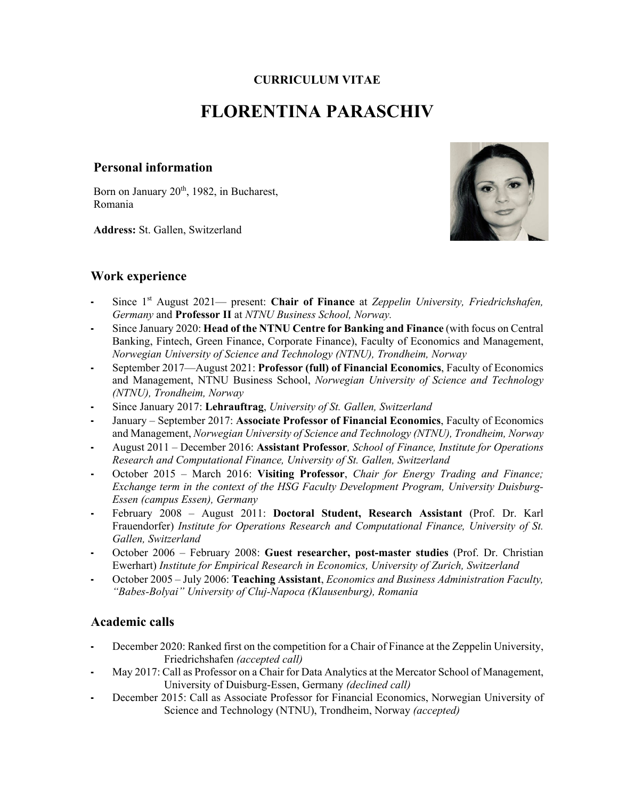#### **CURRICULUM VITAE**

# **FLORENTINA PARASCHIV**

#### **Personal information**

Born on January 20<sup>th</sup>, 1982, in Bucharest, Romania

**Address:** St. Gallen, Switzerland



# **Work experience**

- **-** Since 1st August 2021— present: **Chair of Finance** at *Zeppelin University, Friedrichshafen, Germany* and **Professor II** at *NTNU Business School, Norway.*
- **-** Since January 2020: **Head of the NTNU Centre for Banking and Finance** (with focus on Central Banking, Fintech, Green Finance, Corporate Finance), Faculty of Economics and Management, *Norwegian University of Science and Technology (NTNU), Trondheim, Norway*
- **-** September 2017—August 2021: **Professor (full) of Financial Economics**, Faculty of Economics and Management, NTNU Business School, *Norwegian University of Science and Technology (NTNU), Trondheim, Norway*
- **-** Since January 2017: **Lehrauftrag**, *University of St. Gallen, Switzerland*
- **-** January September 2017: **Associate Professor of Financial Economics**, Faculty of Economics and Management, *Norwegian University of Science and Technology (NTNU), Trondheim, Norway*
- **-** August 2011 December 2016: **Assistant Professor***, School of Finance, Institute for Operations Research and Computational Finance, University of St. Gallen, Switzerland*
- **-** October 2015 March 2016: **Visiting Professor**, *Chair for Energy Trading and Finance; Exchange term in the context of the HSG Faculty Development Program, University Duisburg-Essen (campus Essen), Germany*
- **-** February 2008 August 2011: **Doctoral Student, Research Assistant** (Prof. Dr. Karl Frauendorfer) *Institute for Operations Research and Computational Finance, University of St. Gallen, Switzerland*
- **-** October 2006 February 2008: **Guest researcher, post-master studies** (Prof. Dr. Christian Ewerhart) *Institute for Empirical Research in Economics, University of Zurich, Switzerland*
- **-** October 2005 July 2006: **Teaching Assistant**, *Economics and Business Administration Faculty, "Babes-Bolyai" University of Cluj-Napoca (Klausenburg), Romania*

#### **Academic calls**

- **-** December 2020: Ranked first on the competition for a Chair of Finance at the Zeppelin University, Friedrichshafen *(accepted call)*
- **-** May 2017: Call as Professor on a Chair for Data Analytics at the Mercator School of Management, University of Duisburg-Essen, Germany *(declined call)*
- **-** December 2015: Call as Associate Professor for Financial Economics, Norwegian University of Science and Technology (NTNU), Trondheim, Norway *(accepted)*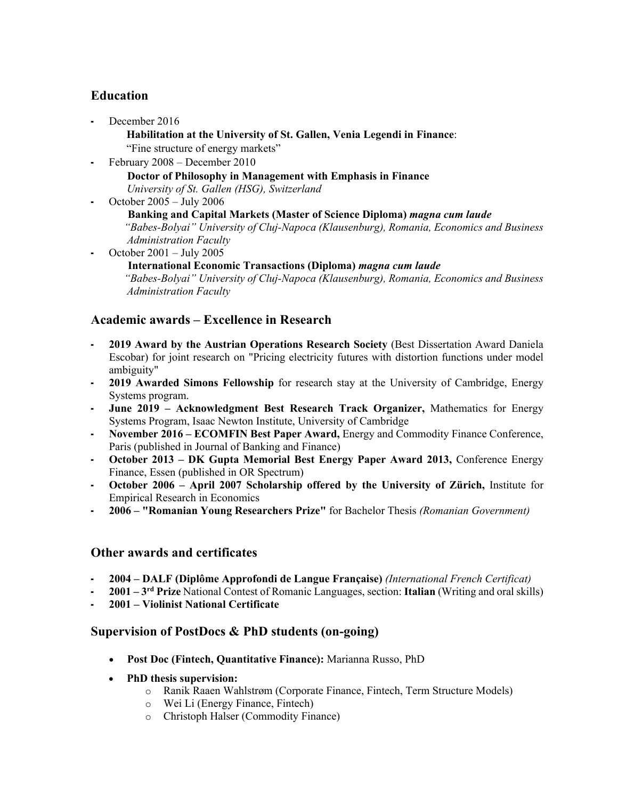# **Education**

**-** December 2016

**Habilitation at the University of St. Gallen, Venia Legendi in Finance**: "Fine structure of energy markets"

**-** February 2008 – December 2010 **Doctor of Philosophy in Management with Emphasis in Finance**

 *University of St. Gallen (HSG), Switzerland*

- **-** October 2005 July 2006
	- **Banking and Capital Markets (Master of Science Diploma)** *magna cum laude*

 *"Babes-Bolyai" University of Cluj-Napoca (Klausenburg), Romania, Economics and Business Administration Faculty*

**-** October 2001 – July 2005

 **International Economic Transactions (Diploma)** *magna cum laude*

 *"Babes-Bolyai" University of Cluj-Napoca (Klausenburg), Romania, Economics and Business Administration Faculty*

# **Academic awards – Excellence in Research**

- **- 2019 Award by the Austrian Operations Research Society** (Best Dissertation Award Daniela Escobar) for joint research on "Pricing electricity futures with distortion functions under model ambiguity"
- **- 2019 Awarded Simons Fellowship** for research stay at the University of Cambridge, Energy Systems program.
- **- June 2019 – Acknowledgment Best Research Track Organizer,** Mathematics for Energy Systems Program, Isaac Newton Institute, University of Cambridge
- **- November 2016 – ECOMFIN Best Paper Award,** Energy and Commodity Finance Conference, Paris (published in Journal of Banking and Finance)
- **- October 2013 – DK Gupta Memorial Best Energy Paper Award 2013,** Conference Energy Finance, Essen (published in OR Spectrum)
- **- October 2006 – April 2007 Scholarship offered by the University of Zürich,** Institute for Empirical Research in Economics
- **- 2006 – "Romanian Young Researchers Prize"** for Bachelor Thesis *(Romanian Government)*

# **Other awards and certificates**

- **- 2004 – DALF (Diplôme Approfondi de Langue Française)** *(International French Certificat)*
- **- 2001 – 3rd Prize** National Contest of Romanic Languages, section: **Italian** (Writing and oral skills)
- **- 2001 – Violinist National Certificate**

# **Supervision of PostDocs & PhD students (on-going)**

- **Post Doc (Fintech, Quantitative Finance):** Marianna Russo, PhD
- **PhD thesis supervision:**
	- o Ranik Raaen Wahlstrøm (Corporate Finance, Fintech, Term Structure Models)
	- o Wei Li (Energy Finance, Fintech)
	- o Christoph Halser (Commodity Finance)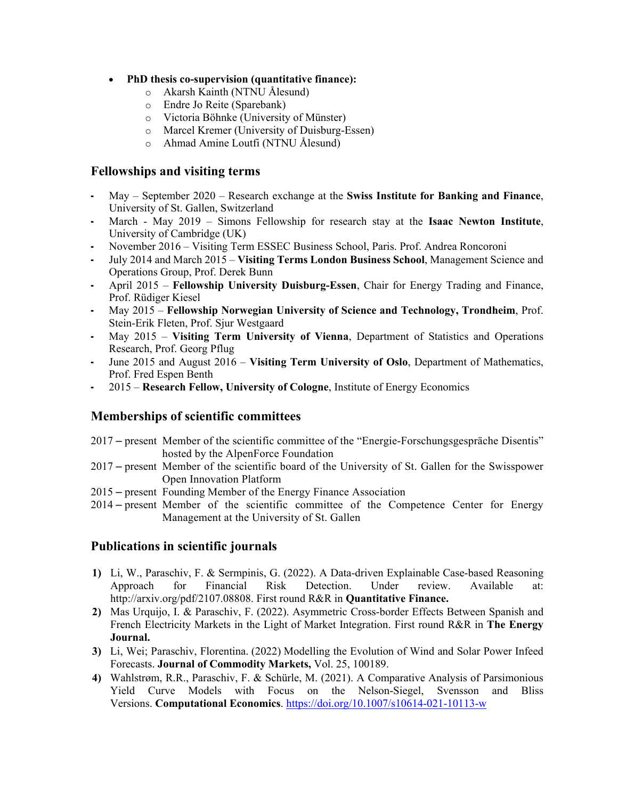- **PhD thesis co-supervision (quantitative finance):** 
	- o Akarsh Kainth (NTNU [Ålesund\)](https://use.mazemap.com/?campuses=ntnu&referenceprovider=ntnulydia&campusid=91&sharepoitype=bld&sharepoi=660)
	- o Endre Jo Reite (Sparebank)
	- o Victoria Böhnke (University of Münster)
	- o Marcel Kremer (University of Duisburg-Essen)
	- o Ahmad Amine Loutfi (NTNU [Ålesund\)](https://use.mazemap.com/?campuses=ntnu&referenceprovider=ntnulydia&campusid=91&sharepoitype=bld&sharepoi=660)

### **Fellowships and visiting terms**

- **-** May September 2020 Research exchange at the **Swiss Institute for Banking and Finance**, University of St. Gallen, Switzerland
- **-** March May 2019 Simons Fellowship for research stay at the **Isaac Newton Institute**, University of Cambridge (UK)
- **-** November 2016 Visiting Term ESSEC Business School, Paris. Prof. Andrea Roncoroni
- **-** July 2014 and March 2015 **Visiting Terms London Business School**, Management Science and Operations Group, Prof. Derek Bunn
- **-** April 2015 **Fellowship University Duisburg-Essen**, Chair for Energy Trading and Finance, Prof. Rüdiger Kiesel
- **-** May 2015 **Fellowship Norwegian University of Science and Technology, Trondheim**, Prof. Stein-Erik Fleten, Prof. Sjur Westgaard
- **-** May 2015 **Visiting Term University of Vienna**, Department of Statistics and Operations Research, Prof. Georg Pflug
- **-** June 2015 and August 2016 **Visiting Term University of Oslo**, Department of Mathematics, Prof. Fred Espen Benth
- **-** 2015 **Research Fellow, University of Cologne**, Institute of Energy Economics

#### **Memberships of scientific committees**

- 2017 present Member of the scientific committee of the "Energie-Forschungsgespräche Disentis" hosted by the AlpenForce Foundation
- 2017 present Member of the scientific board of the University of St. Gallen for the Swisspower Open Innovation Platform
- 2015 present Founding Member of the Energy Finance Association
- 2014 present Member of the scientific committee of the Competence Center for Energy Management at the University of St. Gallen

# **Publications in scientific journals**

- **1)** Li, W., Paraschiv, F. & Sermpinis, G. (2022). A Data-driven Explainable Case-based Reasoning Approach for Financial Risk Detection. Under review. Available at: [http://arxiv.org/pdf/2107.08808.](https://econpapers.repec.org/scripts/redir.pf?u=http%3A%2F%2Farxiv.org%2Fpdf%2F2107.08808;h=repec:arx:papers:2107.08808) First round R&R in **Quantitative Finance.**
- **2)** Mas Urquijo, I. & Paraschiv, F. (2022). Asymmetric Cross-border Effects Between Spanish and French Electricity Markets in the Light of Market Integration. First round R&R in **The Energy Journal.**
- **3)** Li, Wei; Paraschiv, Florentina. (2022) [Modelling the Evolution of Wind and Solar Power Infeed](http://dx.doi.org/10.1016/j.jcomm.2021.100189)  [Forecasts.](http://dx.doi.org/10.1016/j.jcomm.2021.100189) **Journal of Commodity Markets,** Vol. 25, 100189.
- **4)** Wahlstrøm, R.R., Paraschiv, F. & Schürle, M. (2021). A Comparative Analysis of Parsimonious Yield Curve Models with Focus on the Nelson-Siegel, Svensson and Bliss Versions. **Computational Economics**.<https://doi.org/10.1007/s10614-021-10113-w>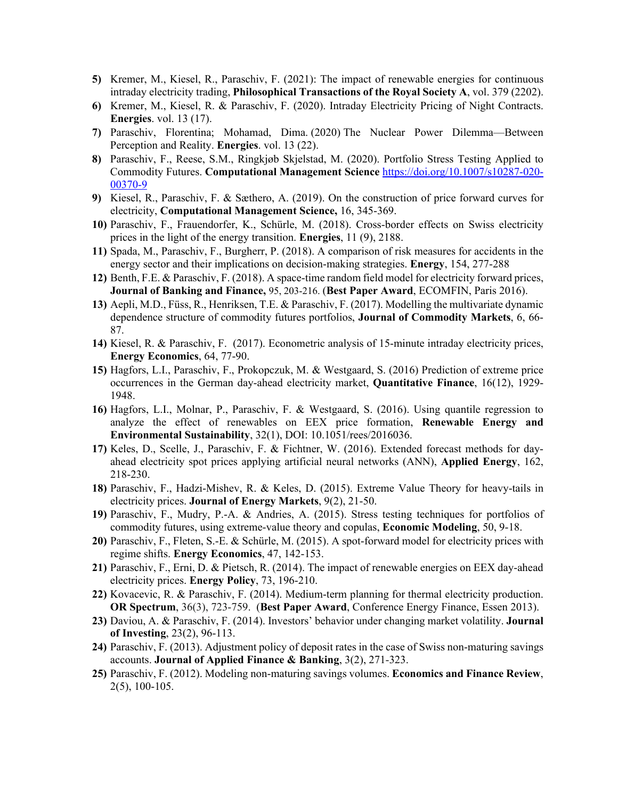- **5)** Kremer, M., Kiesel, R., Paraschiv, F. (2021): The impact of renewable energies for continuous intraday electricity trading, **Philosophical Transactions of the Royal Society A**, vol. 379 (2202).
- **6)** Kremer, M., Kiesel, R. & Paraschiv, F. (2020). Intraday Electricity Pricing of Night Contracts. **Energies**. vol. 13 (17).
- **7)** Paraschiv, Florentina; Mohamad, Dima. (2020) [The Nuclear Power Dilemma—Between](https://hdl.handle.net/11250/2726230)  [Perception and Reality.](https://hdl.handle.net/11250/2726230) **[Energies](http://www.mdpi.com/journal/energies)**. vol. 13 (22).
- **8)** Paraschiv, F., Reese, S.M., Ringkjøb Skjelstad, M. (2020). Portfolio Stress Testing Applied to Commodity Futures. **Computational Management Science** [https://doi.org/10.1007/s10287-020-](https://doi.org/10.1007/s10287-020-00370-9) [00370-9](https://doi.org/10.1007/s10287-020-00370-9)
- **9)** Kiesel, R., Paraschiv, F. & Sæthero, A. (2019). On the construction of price forward curves for electricity, **Computational Management Science,** 16, 345-369.
- **10)** Paraschiv, F., Frauendorfer, K., Schürle, M. (2018). Cross-border effects on Swiss electricity prices in the light of the energy transition. **Energies**, 11 (9), 2188.
- **11)** Spada, M., Paraschiv, F., Burgherr, P. (2018). [A comparison of risk measures for accidents in the](http://dx.doi.org/10.1016/j.energy.2018.04.110)  [energy sector and their implications on decision-making strategies.](http://dx.doi.org/10.1016/j.energy.2018.04.110) **Energy**, 154, 277-288
- **12)** Benth, F.E. & Paraschiv, F. (2018). A space-time random field model for electricity forward prices, **Journal of Banking and Finance,** 95, 203-216. (**Best Paper Award**, ECOMFIN, Paris 2016).
- **13)** Aepli, M.D., Füss, R., Henriksen, T.E. & Paraschiv, F. (2017). Modelling the multivariate dynamic dependence structure of commodity futures portfolios, **Journal of Commodity Markets**, 6, 66- 87.
- **14)** Kiesel, R. & Paraschiv, F. (2017). Econometric analysis of 15-minute intraday electricity prices, **Energy Economics**, 64, 77-90.
- **15)** Hagfors, L.I., Paraschiv, F., Prokopczuk, M. & Westgaard, S. (2016) Prediction of extreme price occurrences in the German day-ahead electricity market, **Quantitative Finance**, 16(12), 1929- 1948.
- **16)** Hagfors, L.I., Molnar, P., Paraschiv, F. & Westgaard, S. (2016). Using quantile regression to analyze the effect of renewables on EEX price formation, **Renewable Energy and Environmental Sustainability**, 32(1), DOI: 10.1051/rees/2016036.
- **17)** Keles, D., Scelle, J., Paraschiv, F. & Fichtner, W. (2016). Extended forecast methods for dayahead electricity spot prices applying artificial neural networks (ANN), **Applied Energy**, 162, 218-230.
- **18)** Paraschiv, F., Hadzi-Mishev, R. & Keles, D. (2015). Extreme Value Theory for heavy-tails in electricity prices. **Journal of Energy Markets**, 9(2), 21-50.
- **19)** Paraschiv, F., Mudry, P.-A. & Andries, A. (2015). Stress testing techniques for portfolios of commodity futures, using extreme-value theory and copulas, **Economic Modeling**, 50, 9-18.
- **20)** Paraschiv, F., Fleten, S.-E. & Schürle, M. (2015). A spot-forward model for electricity prices with regime shifts. **Energy Economics**, 47, 142-153.
- **21)** Paraschiv, F., Erni, D. & Pietsch, R. (2014). The impact of renewable energies on EEX day-ahead electricity prices. **Energy Policy**, 73, 196-210.
- **22)** Kovacevic, R. & Paraschiv, F. (2014). Medium-term planning for thermal electricity production. **OR Spectrum**, 36(3), 723-759. (**Best Paper Award**, Conference Energy Finance, Essen 2013).
- **23)** Daviou, A. & Paraschiv, F. (2014). Investors' behavior under changing market volatility. **Journal of Investing**, 23(2), 96-113.
- **24)** Paraschiv, F. (2013). Adjustment policy of deposit rates in the case of Swiss non-maturing savings accounts. **Journal of Applied Finance & Banking**, 3(2), 271-323.
- **25)** Paraschiv, F. (2012). Modeling non-maturing savings volumes. **Economics and Finance Review**, 2(5), 100-105.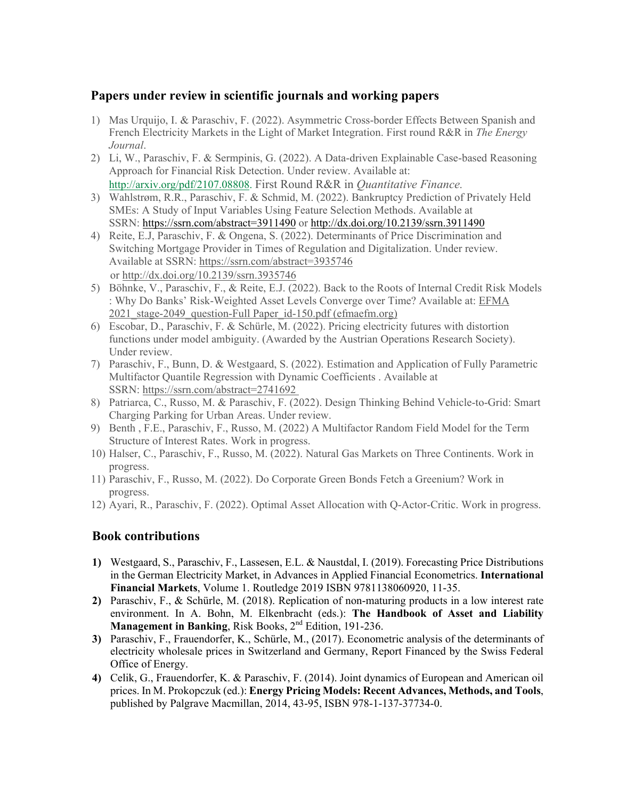### **Papers under review in scientific journals and working papers**

- 1) Mas Urquijo, I. & Paraschiv, F. (2022). Asymmetric Cross-border Effects Between Spanish and French Electricity Markets in the Light of Market Integration. First round R&R in *The Energy Journal*.
- 2) Li, W., Paraschiv, F. & Sermpinis, G. (2022). A Data-driven Explainable Case-based Reasoning Approach for Financial Risk Detection. Under review. Available at: [http://arxiv.org/pdf/2107.08808.](https://econpapers.repec.org/scripts/redir.pf?u=http%3A%2F%2Farxiv.org%2Fpdf%2F2107.08808;h=repec:arx:papers:2107.08808) First Round R&R in *Quantitative Finance.*
- 3) Wahlstrøm, R.R., Paraschiv, F. & Schmid, M. (2022). Bankruptcy Prediction of Privately Held SMEs: A Study of Input Variables Using Feature Selection Methods. Available at SSRN: <https://ssrn.com/abstract=3911490> or [http://dx.doi.org/10.2139/ssrn.3911490](https://dx.doi.org/10.2139/ssrn.3911490)
- 4) Reite, E.J, Paraschiv, F. & Ongena, S. (2022). Determinants of Price Discrimination and Switching Mortgage Provider in Times of Regulation and Digitalization. Under review. Available at SSRN: <https://ssrn.com/abstract=3935746> or [http://dx.doi.org/10.2139/ssrn.3935746](https://dx.doi.org/10.2139/ssrn.3935746)
- 5) Böhnke, V., Paraschiv, F., & Reite, E.J. (2022). Back to the Roots of Internal Credit Risk Models : Why Do Banks' Risk-Weighted Asset Levels Converge over Time? Available at: [EFMA](https://www.efmaefm.org/0EFMAMEETINGS/EFMA%20ANNUAL%20MEETINGS/2021-Leeds/papers/EFMA%202021_stage-2049_question-Full%20Paper_id-150.pdf)  2021 stage-2049 question-Full Paper id-150.pdf (efmaefm.org)
- 6) Escobar, D., Paraschiv, F. & Schürle, M. (2022). Pricing electricity futures with distortion functions under model ambiguity. (Awarded by the Austrian Operations Research Society). Under review.
- 7) Paraschiv, F., Bunn, D. & Westgaard, S. (2022). Estimation and Application of Fully Parametric Multifactor Quantile Regression with Dynamic Coefficients . Available at SSRN: [https://ssrn.com/abstract=2741692](https://papers.ssrn.com/sol3/papers.cfm?abstract_id=2741692)
- 8) Patriarca, C., Russo, M. & Paraschiv, F. (2022). Design Thinking Behind Vehicle-to-Grid: Smart Charging Parking for Urban Areas. Under review.
- 9) Benth , F.E., Paraschiv, F., Russo, M. (2022) A Multifactor Random Field Model for the Term Structure of Interest Rates. Work in progress.
- 10) Halser, C., Paraschiv, F., Russo, M. (2022). Natural Gas Markets on Three Continents. Work in progress.
- 11) Paraschiv, F., Russo, M. (2022). Do Corporate Green Bonds Fetch a Greenium? Work in progress.
- 12) Ayari, R., Paraschiv, F. (2022). Optimal Asset Allocation with Q-Actor-Critic. Work in progress.

#### **Book contributions**

- **1)** Westgaard, S., Paraschiv, F., Lassesen, E.L. & Naustdal, I. (2019). Forecasting Price Distributions in the German Electricity Market, in Advances in Applied Financial Econometrics. **International Financial Markets**, Volume 1. Routledge 2019 ISBN 9781138060920, 11-35.
- **2)** Paraschiv, F., & Schürle, M. (2018). Replication of non-maturing products in a low interest rate environment. In A. Bohn, M. Elkenbracht (eds.): **The Handbook of Asset and Liability Management in Banking, Risk Books, 2<sup>nd</sup> Edition, 191-236.**
- **3)** Paraschiv, F., Frauendorfer, K., Schürle, M., (2017). Econometric analysis of the determinants of electricity wholesale prices in Switzerland and Germany, Report Financed by the Swiss Federal Office of Energy.
- **4)** Celik, G., Frauendorfer, K. & Paraschiv, F. (2014). Joint dynamics of European and American oil prices. In M. Prokopczuk (ed.): **Energy Pricing Models: Recent Advances, Methods, and Tools**, published by Palgrave Macmillan, 2014, 43-95, ISBN 978-1-137-37734-0.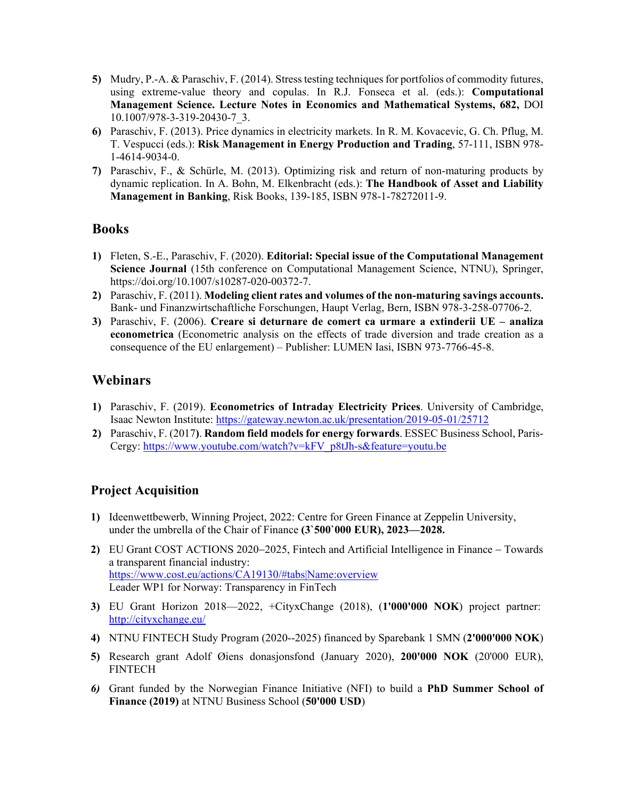- **5)** Mudry, P.-A. & Paraschiv, F. (2014). Stress testing techniques for portfolios of commodity futures, using extreme-value theory and copulas. In R.J. Fonseca et al. (eds.): **Computational Management Science. Lecture Notes in Economics and Mathematical Systems, 682,** DOI 10.1007/978-3-319-20430-7\_3.
- **6)** Paraschiv, F. (2013). Price dynamics in electricity markets. In R. M. Kovacevic, G. Ch. Pflug, M. T. Vespucci (eds.): **Risk Management in Energy Production and Trading**, 57-111, ISBN 978- 1-4614-9034-0.
- **7)** Paraschiv, F., & Schürle, M. (2013). Optimizing risk and return of non-maturing products by dynamic replication. In A. Bohn, M. Elkenbracht (eds.): **The Handbook of Asset and Liability Management in Banking**, Risk Books, 139-185, ISBN 978-1-78272011-9.

# **Books**

- **1)** Fleten, S.-E., Paraschiv, F. (2020). **Editorial: Special issue of the Computational Management Science Journal** (15th conference on Computational Management Science, NTNU), Springer, https://doi.org/10.1007/s10287-020-00372-7.
- **2)** Paraschiv, F. (2011). **Modeling client rates and volumes of the non-maturing savings accounts.** Bank- und Finanzwirtschaftliche Forschungen, Haupt Verlag, Bern, ISBN 978-3-258-07706-2.
- **3)** Paraschiv, F. (2006). **Creare si deturnare de comert ca urmare a extinderii UE analiza econometrica** (Econometric analysis on the effects of trade diversion and trade creation as a consequence of the EU enlargement) – Publisher: LUMEN Iasi, ISBN 973-7766-45-8.

# **Webinars**

- **1)** Paraschiv, F. (2019). **Econometrics of Intraday Electricity Prices**. University of Cambridge, Isaac Newton Institute:<https://gateway.newton.ac.uk/presentation/2019-05-01/25712>
- **2)** Paraschiv, F. (2017**)**. **Random field models for energy forwards**. ESSEC Business School, Paris-Cergy: [https://www.youtube.com/watch?v=kFV\\_p8tJh-s&feature=youtu.be](https://www.youtube.com/watch?v=kFV_p8tJh-s&feature=youtu.be)

# **Project Acquisition**

- **1)** Ideenwettbewerb, Winning Project, 2022: Centre for Green Finance at Zeppelin University, under the umbrella of the Chair of Finance **(3`500`000 EUR), 2023—2028.**
- **2)** EU Grant COST ACTIONS 2020−2025, Fintech and Artificial Intelligence in Finance − Towards a transparent financial industry: <https://www.cost.eu/actions/CA19130/#tabs|Name:overview> Leader WP1 for Norway: Transparency in FinTech
- **3)** EU Grant Horizon 2018—2022, +CityxChange (2018), (**1'000'000 NOK**) project partner: <http://cityxchange.eu/>
- **4)** NTNU FINTECH Study Program (2020--2025) financed by Sparebank 1 SMN (**2'000'000 NOK**)
- **5)** Research grant Adolf Øiens donasjonsfond (January 2020), **200'000 NOK** (20'000 EUR), FINTECH
- *6)* Grant funded by the Norwegian Finance Initiative (NFI) to build a **PhD Summer School of Finance (2019)** at NTNU Business School (**50'000 USD**)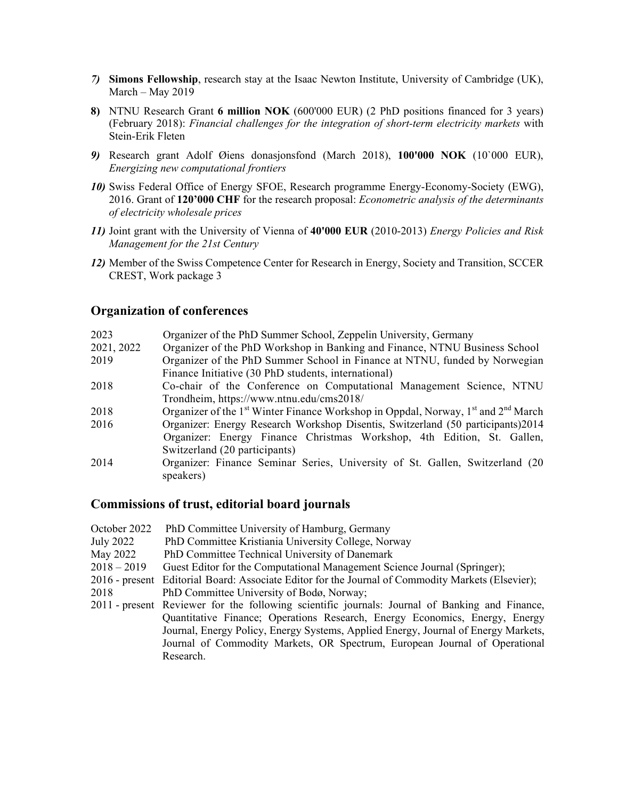- *7)* **Simons Fellowship**, research stay at the Isaac Newton Institute, University of Cambridge (UK), March – May 2019
- **8)** NTNU Research Grant **6 million NOK** (600'000 EUR) (2 PhD positions financed for 3 years) (February 2018): *Financial challenges for the integration of short-term electricity markets* with Stein-Erik Fleten
- *9)* Research grant Adolf Øiens donasjonsfond (March 2018), **100'000 NOK** (10`000 EUR), *Energizing new computational frontiers*
- *10)* Swiss Federal Office of Energy SFOE, Research programme Energy-Economy-Society (EWG), 2016. Grant of **120'000 CHF** for the research proposal: *Econometric analysis of the determinants of electricity wholesale prices*
- *11)* Joint grant with the University of Vienna of **40'000 EUR** (2010-2013) *Energy Policies and Risk Management for the 21st Century*
- *12)* Member of the Swiss Competence Center for Research in Energy, Society and Transition, SCCER CREST, Work package 3

#### **Organization of conferences**

| 2023       | Organizer of the PhD Summer School, Zeppelin University, Germany                                                      |
|------------|-----------------------------------------------------------------------------------------------------------------------|
| 2021, 2022 | Organizer of the PhD Workshop in Banking and Finance, NTNU Business School                                            |
| 2019       | Organizer of the PhD Summer School in Finance at NTNU, funded by Norwegian                                            |
|            | Finance Initiative (30 PhD students, international)                                                                   |
| 2018       | Co-chair of the Conference on Computational Management Science, NTNU                                                  |
|            | Trondheim, https://www.ntnu.edu/cms2018/                                                                              |
| 2018       | Organizer of the 1 <sup>st</sup> Winter Finance Workshop in Oppdal, Norway, 1 <sup>st</sup> and 2 <sup>nd</sup> March |
| 2016       | Organizer: Energy Research Workshop Disentis, Switzerland (50 participants)2014                                       |
|            | Organizer: Energy Finance Christmas Workshop, 4th Edition, St. Gallen,                                                |
|            | Switzerland (20 participants)                                                                                         |
| 2014       | Organizer: Finance Seminar Series, University of St. Gallen, Switzerland (20)                                         |
|            | speakers)                                                                                                             |

#### **Commissions of trust, editorial board journals**

| PhD Committee University of Hamburg, Germany                                                      |
|---------------------------------------------------------------------------------------------------|
| PhD Committee Kristiania University College, Norway                                               |
| PhD Committee Technical University of Danemark                                                    |
| Guest Editor for the Computational Management Science Journal (Springer);                         |
| 2016 - present Editorial Board: Associate Editor for the Journal of Commodity Markets (Elsevier); |
| PhD Committee University of Bodø, Norway;                                                         |
| 2011 - present Reviewer for the following scientific journals: Journal of Banking and Finance,    |
| Quantitative Finance; Operations Research, Energy Economics, Energy, Energy                       |
| Journal, Energy Policy, Energy Systems, Applied Energy, Journal of Energy Markets,                |
| Journal of Commodity Markets, OR Spectrum, European Journal of Operational                        |
| Research.                                                                                         |
|                                                                                                   |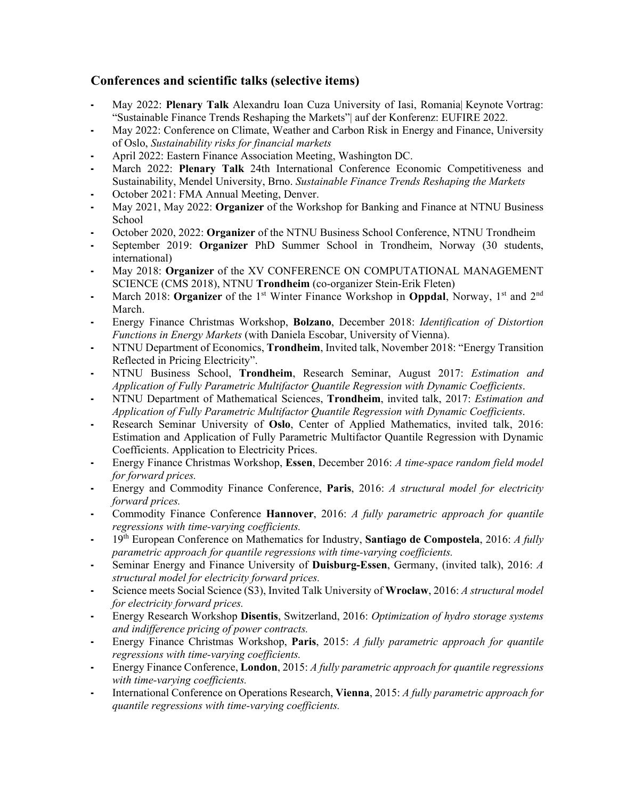# **Conferences and scientific talks (selective items)**

- **-** May 2022: **Plenary Talk** Alexandru Ioan Cuza University of Iasi, Romania| Keynote Vortrag: "Sustainable Finance Trends Reshaping the Markets"| auf der Konferenz: EUFIRE 2022.
- **-** May 2022: Conference on Climate, Weather and Carbon Risk in Energy and Finance, University of Oslo, *Sustainability risks for financial markets*
- **-** April 2022: Eastern Finance Association Meeting, Washington DC.
- **-** March 2022: **Plenary Talk** 24th International Conference Economic Competitiveness and Sustainability, Mendel University, Brno. *Sustainable Finance Trends Reshaping the Markets*
- **-** October 2021: FMA Annual Meeting, Denver.
- **-** May 2021, May 2022: **Organizer** of the Workshop for Banking and Finance at NTNU Business School
- **-** October 2020, 2022: **Organizer** of the NTNU Business School Conference, NTNU Trondheim
- **-** September 2019: **Organizer** PhD Summer School in Trondheim, Norway (30 students, international)
- **-** May 2018: **Organizer** of the XV CONFERENCE ON COMPUTATIONAL MANAGEMENT SCIENCE (CMS 2018), NTNU **Trondheim** (co-organizer Stein-Erik Fleten)
- **-** March 2018: **Organizer** of the 1<sup>st</sup> Winter Finance Workshop in **Oppdal**, Norway, 1<sup>st</sup> and 2<sup>nd</sup> March.
- **-** Energy Finance Christmas Workshop, **Bolzano**, December 2018: *Identification of Distortion Functions in Energy Markets* (with Daniela Escobar, University of Vienna).
- **-** NTNU Department of Economics, **Trondheim**, Invited talk, November 2018: "Energy Transition Reflected in Pricing Electricity".
- **-** NTNU Business School, **Trondheim**, Research Seminar, August 2017: *Estimation and Application of Fully Parametric Multifactor Quantile Regression with Dynamic Coefficients*.
- **-** NTNU Department of Mathematical Sciences, **Trondheim**, invited talk, 2017: *Estimation and Application of Fully Parametric Multifactor Quantile Regression with Dynamic Coefficients*.
- **-** Research Seminar University of **Oslo**, Center of Applied Mathematics, invited talk, 2016: Estimation and Application of Fully Parametric Multifactor Quantile Regression with Dynamic Coefficients. Application to Electricity Prices.
- **-** Energy Finance Christmas Workshop, **Essen**, December 2016: *A time-space random field model for forward prices.*
- **-** Energy and Commodity Finance Conference, **Paris**, 2016: *A structural model for electricity forward prices.*
- **-** Commodity Finance Conference **Hannover**, 2016: *A fully parametric approach for quantile regressions with time-varying coefficients.*
- **-** 19th European Conference on Mathematics for Industry, **Santiago de Compostela**, 2016: *A fully parametric approach for quantile regressions with time-varying coefficients.*
- **-** Seminar Energy and Finance University of **Duisburg-Essen**, Germany, (invited talk), 2016: *A structural model for electricity forward prices.*
- **-** Science meets Social Science (S3), Invited Talk University of **Wroclaw**, 2016: *A structural model for electricity forward prices.*
- **-** Energy Research Workshop **Disentis**, Switzerland, 2016: *Optimization of hydro storage systems and indifference pricing of power contracts.*
- **-** Energy Finance Christmas Workshop, **Paris**, 2015: *A fully parametric approach for quantile regressions with time-varying coefficients.*
- **-** Energy Finance Conference, **London**, 2015: *A fully parametric approach for quantile regressions with time-varying coefficients.*
- **-** International Conference on Operations Research, **Vienna**, 2015: *A fully parametric approach for quantile regressions with time-varying coefficients.*